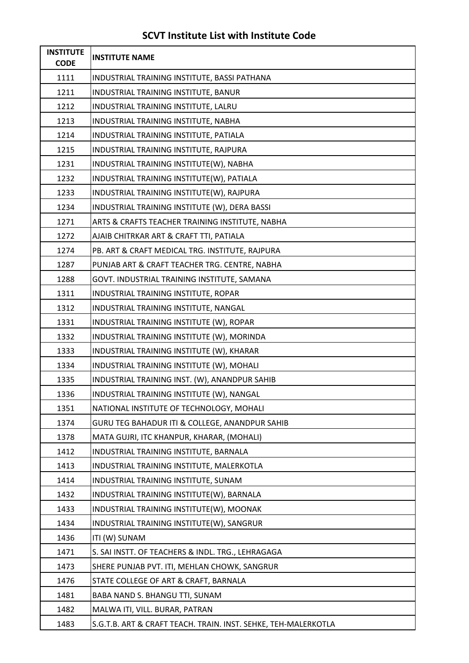## **SCVT Institute List with Institute Code**

| <b>INSTITUTE</b><br><b>CODE</b> | <b>INSTITUTE NAME</b>                                          |
|---------------------------------|----------------------------------------------------------------|
| 1111                            | INDUSTRIAL TRAINING INSTITUTE, BASSI PATHANA                   |
| 1211                            | INDUSTRIAL TRAINING INSTITUTE, BANUR                           |
| 1212                            | INDUSTRIAL TRAINING INSTITUTE, LALRU                           |
| 1213                            | INDUSTRIAL TRAINING INSTITUTE, NABHA                           |
| 1214                            | INDUSTRIAL TRAINING INSTITUTE, PATIALA                         |
| 1215                            | INDUSTRIAL TRAINING INSTITUTE, RAJPURA                         |
| 1231                            | INDUSTRIAL TRAINING INSTITUTE(W), NABHA                        |
| 1232                            | INDUSTRIAL TRAINING INSTITUTE(W), PATIALA                      |
| 1233                            | INDUSTRIAL TRAINING INSTITUTE(W), RAJPURA                      |
| 1234                            | INDUSTRIAL TRAINING INSTITUTE (W), DERA BASSI                  |
| 1271                            | ARTS & CRAFTS TEACHER TRAINING INSTITUTE, NABHA                |
| 1272                            | AJAIB CHITRKAR ART & CRAFT TTI, PATIALA                        |
| 1274                            | PB. ART & CRAFT MEDICAL TRG. INSTITUTE, RAJPURA                |
| 1287                            | PUNJAB ART & CRAFT TEACHER TRG. CENTRE, NABHA                  |
| 1288                            | GOVT. INDUSTRIAL TRAINING INSTITUTE, SAMANA                    |
| 1311                            | INDUSTRIAL TRAINING INSTITUTE, ROPAR                           |
| 1312                            | INDUSTRIAL TRAINING INSTITUTE, NANGAL                          |
| 1331                            | INDUSTRIAL TRAINING INSTITUTE (W), ROPAR                       |
| 1332                            | INDUSTRIAL TRAINING INSTITUTE (W), MORINDA                     |
| 1333                            | INDUSTRIAL TRAINING INSTITUTE (W), KHARAR                      |
| 1334                            | INDUSTRIAL TRAINING INSTITUTE (W), MOHALI                      |
| 1335                            | INDUSTRIAL TRAINING INST. (W), ANANDPUR SAHIB                  |
| 1336                            | INDUSTRIAL TRAINING INSTITUTE (W), NANGAL                      |
| 1351                            | NATIONAL INSTITUTE OF TECHNOLOGY, MOHALI                       |
| 1374                            | GURU TEG BAHADUR ITI & COLLEGE, ANANDPUR SAHIB                 |
| 1378                            | MATA GUJRI, ITC KHANPUR, KHARAR, (MOHALI)                      |
| 1412                            | INDUSTRIAL TRAINING INSTITUTE, BARNALA                         |
| 1413                            | INDUSTRIAL TRAINING INSTITUTE, MALERKOTLA                      |
| 1414                            | INDUSTRIAL TRAINING INSTITUTE, SUNAM                           |
| 1432                            | INDUSTRIAL TRAINING INSTITUTE(W), BARNALA                      |
| 1433                            | INDUSTRIAL TRAINING INSTITUTE(W), MOONAK                       |
| 1434                            | INDUSTRIAL TRAINING INSTITUTE(W), SANGRUR                      |
| 1436                            | ITI (W) SUNAM                                                  |
| 1471                            | S. SAI INSTT. OF TEACHERS & INDL. TRG., LEHRAGAGA              |
| 1473                            | SHERE PUNJAB PVT. ITI, MEHLAN CHOWK, SANGRUR                   |
| 1476                            | STATE COLLEGE OF ART & CRAFT, BARNALA                          |
| 1481                            | BABA NAND S. BHANGU TTI, SUNAM                                 |
| 1482                            | MALWA ITI, VILL. BURAR, PATRAN                                 |
| 1483                            | S.G.T.B. ART & CRAFT TEACH. TRAIN. INST. SEHKE, TEH-MALERKOTLA |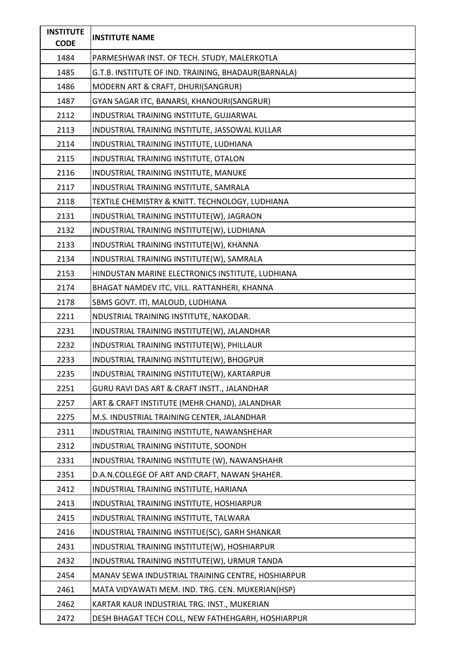| <b>INSTITUTE</b><br><b>CODE</b> | <b>INSTITUTE NAME</b>                               |
|---------------------------------|-----------------------------------------------------|
| 1484                            | PARMESHWAR INST. OF TECH. STUDY, MALERKOTLA         |
| 1485                            | G.T.B. INSTITUTE OF IND. TRAINING, BHADAUR(BARNALA) |
| 1486                            | MODERN ART & CRAFT, DHURI(SANGRUR)                  |
| 1487                            | GYAN SAGAR ITC, BANARSI, KHANOURI(SANGRUR)          |
| 2112                            | INDUSTRIAL TRAINING INSTITUTE, GUJJARWAL            |
| 2113                            | INDUSTRIAL TRAINING INSTITUTE, JASSOWAL KULLAR      |
| 2114                            | INDUSTRIAL TRAINING INSTITUTE, LUDHIANA             |
| 2115                            | INDUSTRIAL TRAINING INSTITUTE, OTALON               |
| 2116                            | INDUSTRIAL TRAINING INSTITUTE, MANUKE               |
| 2117                            | INDUSTRIAL TRAINING INSTITUTE, SAMRALA              |
| 2118                            | TEXTILE CHEMISTRY & KNITT. TECHNOLOGY, LUDHIANA     |
| 2131                            | INDUSTRIAL TRAINING INSTITUTE(W), JAGRAON           |
| 2132                            | INDUSTRIAL TRAINING INSTITUTE(W), LUDHIANA          |
| 2133                            | INDUSTRIAL TRAINING INSTITUTE(W), KHANNA            |
| 2134                            | INDUSTRIAL TRAINING INSTITUTE(W), SAMRALA           |
| 2153                            | HINDUSTAN MARINE ELECTRONICS INSTITUTE, LUDHIANA    |
| 2174                            | BHAGAT NAMDEV ITC, VILL. RATTANHERI, KHANNA         |
| 2178                            | SBMS GOVT. ITI, MALOUD, LUDHIANA                    |
| 2211                            | NDUSTRIAL TRAINING INSTITUTE, NAKODAR.              |
| 2231                            | INDUSTRIAL TRAINING INSTITUTE(W), JALANDHAR         |
| 2232                            | INDUSTRIAL TRAINING INSTITUTE(W), PHILLAUR          |
| 2233                            | INDUSTRIAL TRAINING INSTITUTE(W), BHOGPUR           |
| 2235                            | INDUSTRIAL TRAINING INSTITUTE(W), KARTARPUR         |
| 2251                            | GURU RAVI DAS ART & CRAFT INSTT., JALANDHAR         |
| 2257                            | ART & CRAFT INSTITUTE (MEHR CHAND), JALANDHAR       |
| 2275                            | M.S. INDUSTRIAL TRAINING CENTER, JALANDHAR          |
| 2311                            | INDUSTRIAL TRAINING INSTITUTE, NAWANSHEHAR          |
| 2312                            | INDUSTRIAL TRAINING INSTITUTE, SOONDH               |
| 2331                            | INDUSTRIAL TRAINING INSTITUTE (W), NAWANSHAHR       |
| 2351                            | D.A.N.COLLEGE OF ART AND CRAFT, NAWAN SHAHER.       |
| 2412                            | INDUSTRIAL TRAINING INSTITUTE, HARIANA              |
| 2413                            | INDUSTRIAL TRAINING INSTITUTE, HOSHIARPUR           |
| 2415                            | INDUSTRIAL TRAINING INSTITUTE, TALWARA              |
| 2416                            | INDUSTRIAL TRAINING INSTITUE(SC), GARH SHANKAR      |
| 2431                            | INDUSTRIAL TRAINING INSTITUTE(W), HOSHIARPUR        |
| 2432                            | INDUSTRIAL TRAINING INSTITUTE(W), URMUR TANDA       |
| 2454                            | MANAV SEWA INDUSTRIAL TRAINING CENTRE, HOSHIARPUR   |
| 2461                            | MATA VIDYAWATI MEM. IND. TRG. CEN. MUKERIAN(HSP)    |
| 2462                            | KARTAR KAUR INDUSTRIAL TRG. INST., MUKERIAN         |
| 2472                            | DESH BHAGAT TECH COLL, NEW FATHEHGARH, HOSHIARPUR   |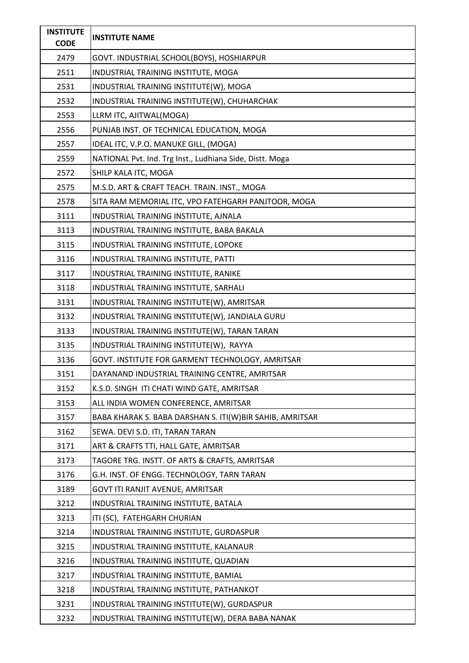| <b>INSTITUTE</b><br><b>CODE</b> | <b>INSTITUTE NAME</b>                                    |
|---------------------------------|----------------------------------------------------------|
| 2479                            | GOVT. INDUSTRIAL SCHOOL(BOYS), HOSHIARPUR                |
| 2511                            | INDUSTRIAL TRAINING INSTITUTE, MOGA                      |
| 2531                            | INDUSTRIAL TRAINING INSTITUTE(W), MOGA                   |
| 2532                            | INDUSTRIAL TRAINING INSTITUTE(W), CHUHARCHAK             |
| 2553                            | LLRM ITC, AJITWAL(MOGA)                                  |
| 2556                            | PUNJAB INST. OF TECHNICAL EDUCATION, MOGA                |
| 2557                            | IDEAL ITC, V.P.O. MANUKE GILL, (MOGA)                    |
| 2559                            | NATIONAL Pvt. Ind. Trg Inst., Ludhiana Side, Distt. Moga |
| 2572                            | SHILP KALA ITC, MOGA                                     |
| 2575                            | M.S.D. ART & CRAFT TEACH. TRAIN. INST., MOGA             |
| 2578                            | SITA RAM MEMORIAL ITC, VPO FATEHGARH PANJTOOR, MOGA      |
| 3111                            | INDUSTRIAL TRAINING INSTITUTE, AJNALA                    |
| 3113                            | INDUSTRIAL TRAINING INSTITUTE, BABA BAKALA               |
| 3115                            | INDUSTRIAL TRAINING INSTITUTE, LOPOKE                    |
| 3116                            | INDUSTRIAL TRAINING INSTITUTE, PATTI                     |
| 3117                            | INDUSTRIAL TRAINING INSTITUTE, RANIKE                    |
| 3118                            | INDUSTRIAL TRAINING INSTITUTE, SARHALI                   |
| 3131                            | INDUSTRIAL TRAINING INSTITUTE(W), AMRITSAR               |
| 3132                            | INDUSTRIAL TRAINING INSTITUTE(W), JANDIALA GURU          |
| 3133                            | INDUSTRIAL TRAINING INSTITUTE(W), TARAN TARAN            |
| 3135                            | INDUSTRIAL TRAINING INSTITUTE(W), RAYYA                  |
| 3136                            | GOVT. INSTITUTE FOR GARMENT TECHNOLOGY, AMRITSAR         |
| 3151                            | DAYANAND INDUSTRIAL TRAINING CENTRE, AMRITSAR            |
| 3152                            | K.S.D. SINGH ITI CHATI WIND GATE, AMRITSAR               |
| 3153                            | ALL INDIA WOMEN CONFERENCE, AMRITSAR                     |
| 3157                            | BABA KHARAK S. BABA DARSHAN S. ITI(W)BIR SAHIB, AMRITSAR |
| 3162                            | SEWA. DEVI S.D. ITI, TARAN TARAN                         |
| 3171                            | ART & CRAFTS TTI, HALL GATE, AMRITSAR                    |
| 3173                            | TAGORE TRG. INSTT. OF ARTS & CRAFTS, AMRITSAR            |
| 3176                            | G.H. INST. OF ENGG. TECHNOLOGY, TARN TARAN               |
| 3189                            | GOVT ITI RANJIT AVENUE, AMRITSAR                         |
| 3212                            | INDUSTRIAL TRAINING INSTITUTE, BATALA                    |
| 3213                            | ITI (SC), FATEHGARH CHURIAN                              |
| 3214                            | INDUSTRIAL TRAINING INSTITUTE, GURDASPUR                 |
| 3215                            | INDUSTRIAL TRAINING INSTITUTE, KALANAUR                  |
| 3216                            | INDUSTRIAL TRAINING INSTITUTE, QUADIAN                   |
| 3217                            | INDUSTRIAL TRAINING INSTITUTE, BAMIAL                    |
| 3218                            | INDUSTRIAL TRAINING INSTITUTE, PATHANKOT                 |
| 3231                            | INDUSTRIAL TRAINING INSTITUTE(W), GURDASPUR              |
| 3232                            | INDUSTRIAL TRAINING INSTITUTE(W), DERA BABA NANAK        |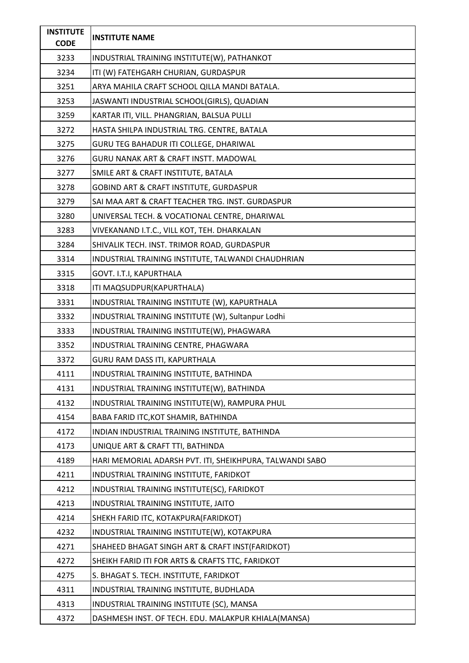| <b>INSTITUTE</b><br><b>CODE</b> | <b>INSTITUTE NAME</b>                                    |
|---------------------------------|----------------------------------------------------------|
| 3233                            | INDUSTRIAL TRAINING INSTITUTE(W), PATHANKOT              |
| 3234                            | ITI (W) FATEHGARH CHURIAN, GURDASPUR                     |
| 3251                            | ARYA MAHILA CRAFT SCHOOL QILLA MANDI BATALA.             |
| 3253                            | JASWANTI INDUSTRIAL SCHOOL(GIRLS), QUADIAN               |
| 3259                            | KARTAR ITI, VILL. PHANGRIAN, BALSUA PULLI                |
| 3272                            | HASTA SHILPA INDUSTRIAL TRG. CENTRE, BATALA              |
| 3275                            | GURU TEG BAHADUR ITI COLLEGE, DHARIWAL                   |
| 3276                            | GURU NANAK ART & CRAFT INSTT. MADOWAL                    |
| 3277                            | SMILE ART & CRAFT INSTITUTE, BATALA                      |
| 3278                            | GOBIND ART & CRAFT INSTITUTE, GURDASPUR                  |
| 3279                            | SAI MAA ART & CRAFT TEACHER TRG. INST. GURDASPUR         |
| 3280                            | UNIVERSAL TECH. & VOCATIONAL CENTRE, DHARIWAL            |
| 3283                            | VIVEKANAND I.T.C., VILL KOT, TEH. DHARKALAN              |
| 3284                            | SHIVALIK TECH. INST. TRIMOR ROAD, GURDASPUR              |
| 3314                            | INDUSTRIAL TRAINING INSTITUTE, TALWANDI CHAUDHRIAN       |
| 3315                            | GOVT. I.T.I, KAPURTHALA                                  |
| 3318                            | ITI MAQSUDPUR(KAPURTHALA)                                |
| 3331                            | INDUSTRIAL TRAINING INSTITUTE (W), KAPURTHALA            |
| 3332                            | INDUSTRIAL TRAINING INSTITUTE (W), Sultanpur Lodhi       |
| 3333                            | INDUSTRIAL TRAINING INSTITUTE(W), PHAGWARA               |
| 3352                            | INDUSTRIAL TRAINING CENTRE, PHAGWARA                     |
| 3372                            | GURU RAM DASS ITI, KAPURTHALA                            |
| 4111                            | INDUSTRIAL TRAINING INSTITUTE, BATHINDA                  |
| 4131                            | INDUSTRIAL TRAINING INSTITUTE(W), BATHINDA               |
| 4132                            | INDUSTRIAL TRAINING INSTITUTE(W), RAMPURA PHUL           |
| 4154                            | BABA FARID ITC, KOT SHAMIR, BATHINDA                     |
| 4172                            | INDIAN INDUSTRIAL TRAINING INSTITUTE, BATHINDA           |
| 4173                            | UNIQUE ART & CRAFT TTI, BATHINDA                         |
| 4189                            | HARI MEMORIAL ADARSH PVT. ITI, SHEIKHPURA, TALWANDI SABO |
| 4211                            | INDUSTRIAL TRAINING INSTITUTE, FARIDKOT                  |
| 4212                            | INDUSTRIAL TRAINING INSTITUTE(SC), FARIDKOT              |
| 4213                            | INDUSTRIAL TRAINING INSTITUTE, JAITO                     |
| 4214                            | SHEKH FARID ITC, KOTAKPURA(FARIDKOT)                     |
| 4232                            | INDUSTRIAL TRAINING INSTITUTE(W), KOTAKPURA              |
| 4271                            | SHAHEED BHAGAT SINGH ART & CRAFT INST(FARIDKOT)          |
| 4272                            | SHEIKH FARID ITI FOR ARTS & CRAFTS TTC, FARIDKOT         |
| 4275                            | S. BHAGAT S. TECH. INSTITUTE, FARIDKOT                   |
| 4311                            | INDUSTRIAL TRAINING INSTITUTE, BUDHLADA                  |
| 4313                            | INDUSTRIAL TRAINING INSTITUTE (SC), MANSA                |
| 4372                            | DASHMESH INST. OF TECH. EDU. MALAKPUR KHIALA(MANSA)      |